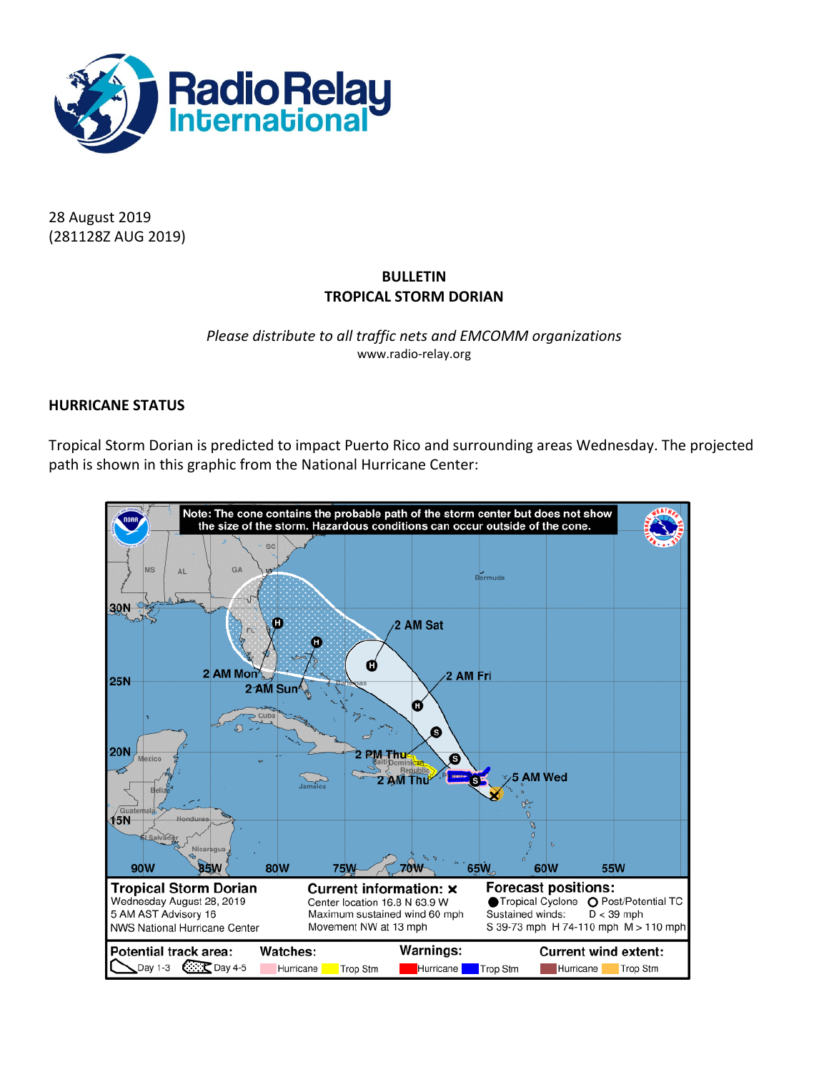

28 August 2019 (281128Z AUG 2019)

# **BULLETIN TROPICAL STORM DORIAN**

## *Please distribute to all traffic nets and EMCOMM organizations* www.radio-relay.org

# **HURRICANE STATUS**

Tropical Storm Dorian is predicted to impact Puerto Rico and surrounding areas Wednesday. The projected path is shown in this graphic from the National Hurricane Center:

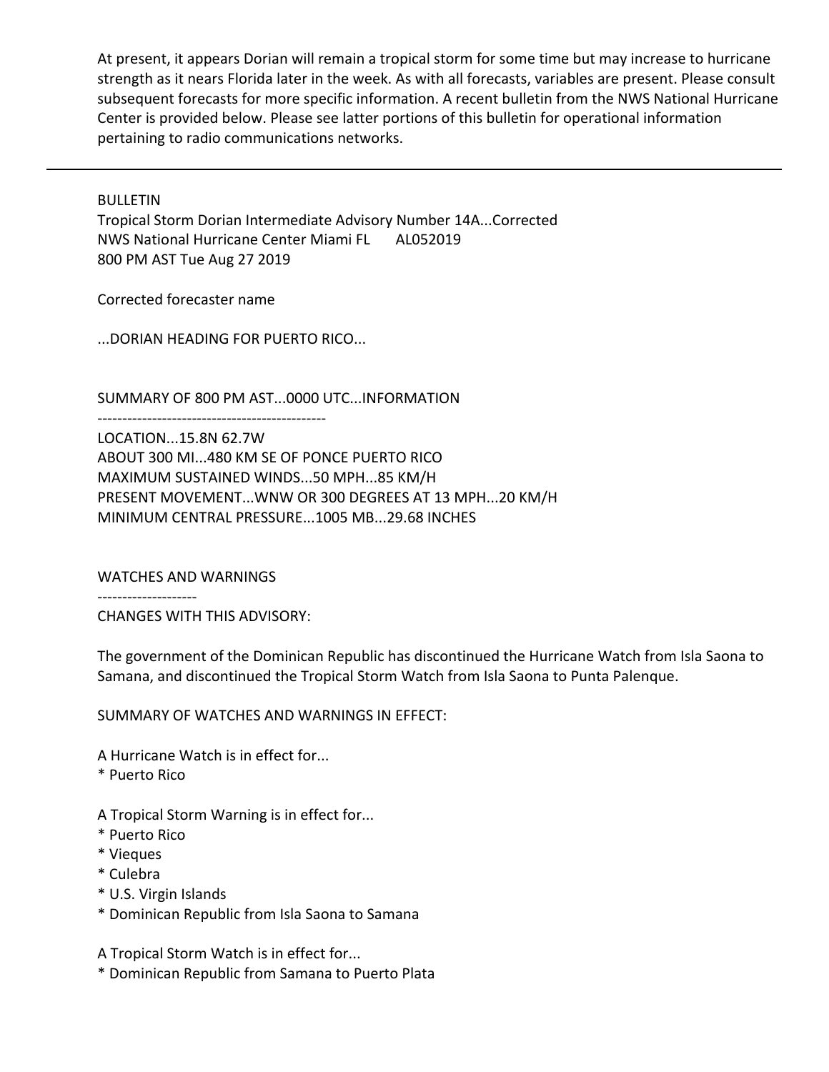At present, it appears Dorian will remain a tropical storm for some time but may increase to hurricane strength as it nears Florida later in the week. As with all forecasts, variables are present. Please consult subsequent forecasts for more specific information. A recent bulletin from the NWS National Hurricane Center is provided below. Please see latter portions of this bulletin for operational information pertaining to radio communications networks.

BULLETIN

Tropical Storm Dorian Intermediate Advisory Number 14A...Corrected NWS National Hurricane Center Miami FL AL052019 800 PM AST Tue Aug 27 2019

Corrected forecaster name

...DORIAN HEADING FOR PUERTO RICO...

----------------------------------------------

SUMMARY OF 800 PM AST...0000 UTC...INFORMATION

LOCATION...15.8N 62.7W ABOUT 300 MI...480 KM SE OF PONCE PUERTO RICO MAXIMUM SUSTAINED WINDS...50 MPH...85 KM/H PRESENT MOVEMENT...WNW OR 300 DEGREES AT 13 MPH...20 KM/H MINIMUM CENTRAL PRESSURE...1005 MB...29.68 INCHES

WATCHES AND WARNINGS

--------------------

CHANGES WITH THIS ADVISORY:

The government of the Dominican Republic has discontinued the Hurricane Watch from Isla Saona to Samana, and discontinued the Tropical Storm Watch from Isla Saona to Punta Palenque.

SUMMARY OF WATCHES AND WARNINGS IN EFFECT:

A Hurricane Watch is in effect for...

\* Puerto Rico

A Tropical Storm Warning is in effect for...

- \* Puerto Rico
- \* Vieques
- \* Culebra
- \* U.S. Virgin Islands
- \* Dominican Republic from Isla Saona to Samana

A Tropical Storm Watch is in effect for...

\* Dominican Republic from Samana to Puerto Plata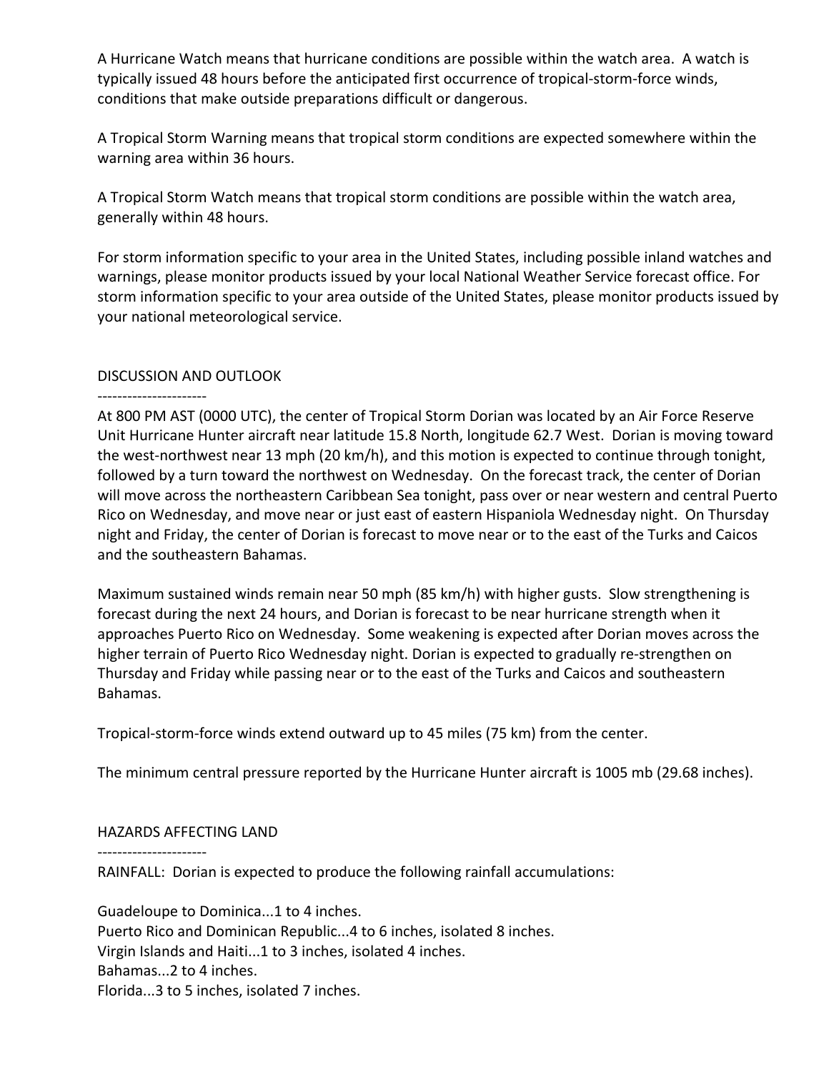A Hurricane Watch means that hurricane conditions are possible within the watch area. A watch is typically issued 48 hours before the anticipated first occurrence of tropical-storm-force winds, conditions that make outside preparations difficult or dangerous.

A Tropical Storm Warning means that tropical storm conditions are expected somewhere within the warning area within 36 hours.

A Tropical Storm Watch means that tropical storm conditions are possible within the watch area, generally within 48 hours.

For storm information specific to your area in the United States, including possible inland watches and warnings, please monitor products issued by your local National Weather Service forecast office. For storm information specific to your area outside of the United States, please monitor products issued by your national meteorological service.

# DISCUSSION AND OUTLOOK

#### ----------------------

At 800 PM AST (0000 UTC), the center of Tropical Storm Dorian was located by an Air Force Reserve Unit Hurricane Hunter aircraft near latitude 15.8 North, longitude 62.7 West. Dorian is moving toward the west-northwest near 13 mph (20 km/h), and this motion is expected to continue through tonight, followed by a turn toward the northwest on Wednesday. On the forecast track, the center of Dorian will move across the northeastern Caribbean Sea tonight, pass over or near western and central Puerto Rico on Wednesday, and move near or just east of eastern Hispaniola Wednesday night. On Thursday night and Friday, the center of Dorian is forecast to move near or to the east of the Turks and Caicos and the southeastern Bahamas.

Maximum sustained winds remain near 50 mph (85 km/h) with higher gusts. Slow strengthening is forecast during the next 24 hours, and Dorian is forecast to be near hurricane strength when it approaches Puerto Rico on Wednesday. Some weakening is expected after Dorian moves across the higher terrain of Puerto Rico Wednesday night. Dorian is expected to gradually re-strengthen on Thursday and Friday while passing near or to the east of the Turks and Caicos and southeastern Bahamas.

Tropical-storm-force winds extend outward up to 45 miles (75 km) from the center.

The minimum central pressure reported by the Hurricane Hunter aircraft is 1005 mb (29.68 inches).

## HAZARDS AFFECTING LAND

----------------------

RAINFALL: Dorian is expected to produce the following rainfall accumulations:

Guadeloupe to Dominica...1 to 4 inches. Puerto Rico and Dominican Republic...4 to 6 inches, isolated 8 inches. Virgin Islands and Haiti...1 to 3 inches, isolated 4 inches. Bahamas...2 to 4 inches. Florida...3 to 5 inches, isolated 7 inches.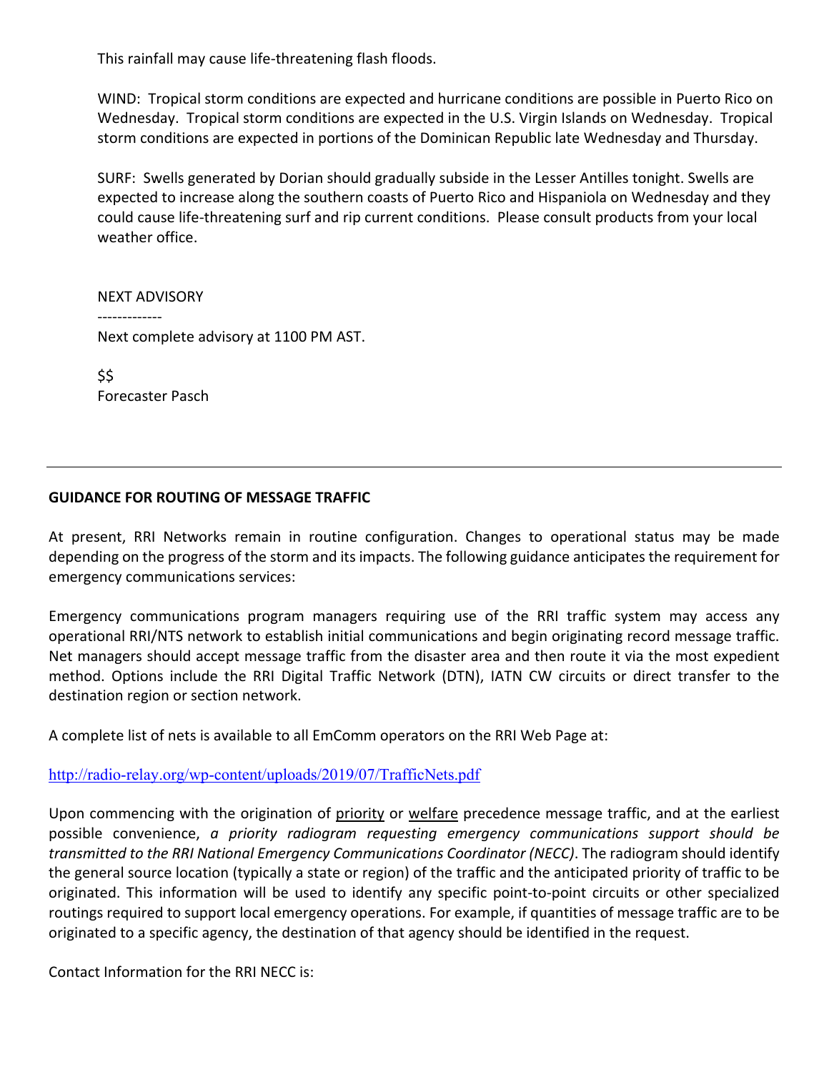This rainfall may cause life-threatening flash floods.

WIND: Tropical storm conditions are expected and hurricane conditions are possible in Puerto Rico on Wednesday. Tropical storm conditions are expected in the U.S. Virgin Islands on Wednesday. Tropical storm conditions are expected in portions of the Dominican Republic late Wednesday and Thursday.

SURF: Swells generated by Dorian should gradually subside in the Lesser Antilles tonight. Swells are expected to increase along the southern coasts of Puerto Rico and Hispaniola on Wednesday and they could cause life-threatening surf and rip current conditions. Please consult products from your local weather office.

NEXT ADVISORY ------------- Next complete advisory at 1100 PM AST.

\$\$ Forecaster Pasch

# **GUIDANCE FOR ROUTING OF MESSAGE TRAFFIC**

At present, RRI Networks remain in routine configuration. Changes to operational status may be made depending on the progress of the storm and its impacts. The following guidance anticipates the requirement for emergency communications services:

Emergency communications program managers requiring use of the RRI traffic system may access any operational RRI/NTS network to establish initial communications and begin originating record message traffic. Net managers should accept message traffic from the disaster area and then route it via the most expedient method. Options include the RRI Digital Traffic Network (DTN), IATN CW circuits or direct transfer to the destination region or section network.

A complete list of nets is available to all EmComm operators on the RRI Web Page at:

<http://radio-relay.org/wp-content/uploads/2019/07/TrafficNets.pdf>

Upon commencing with the origination of priority or welfare precedence message traffic, and at the earliest possible convenience, *a priority radiogram requesting emergency communications support should be transmitted to the RRI National Emergency Communications Coordinator (NECC)*. The radiogram should identify the general source location (typically a state or region) of the traffic and the anticipated priority of traffic to be originated. This information will be used to identify any specific point-to-point circuits or other specialized routings required to support local emergency operations. For example, if quantities of message traffic are to be originated to a specific agency, the destination of that agency should be identified in the request.

Contact Information for the RRI NECC is: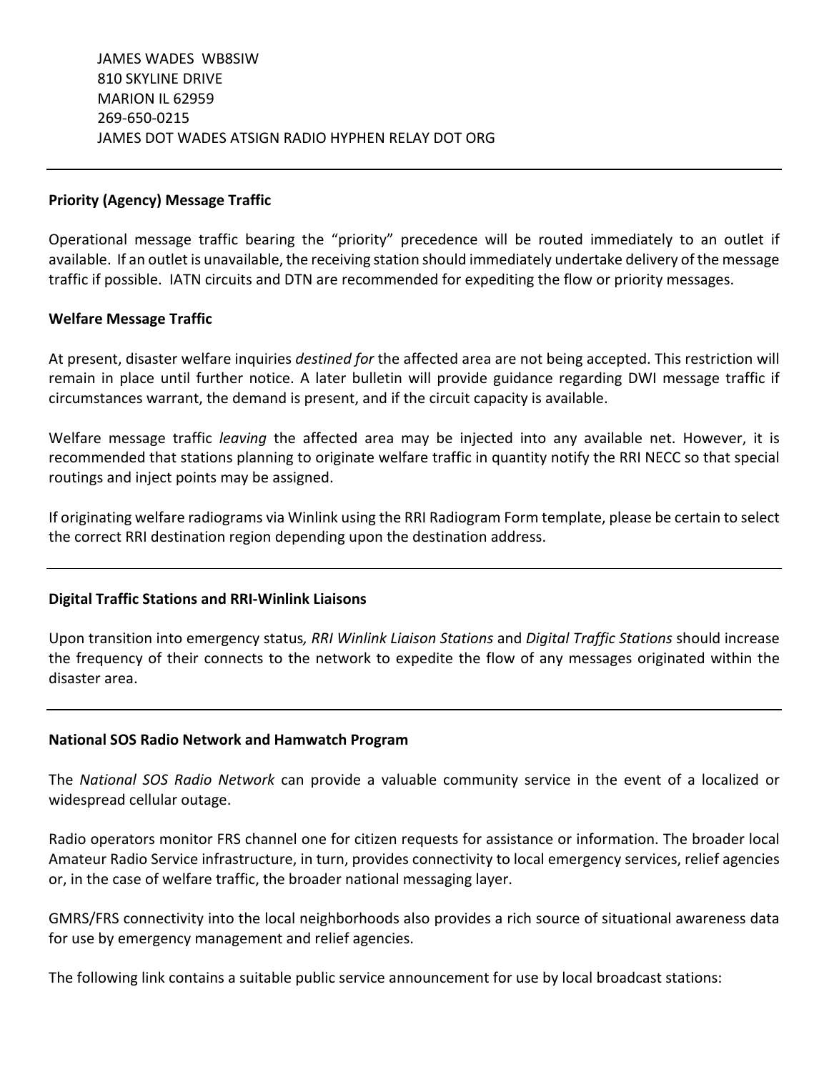#### **Priority (Agency) Message Traffic**

Operational message traffic bearing the "priority" precedence will be routed immediately to an outlet if available. If an outlet is unavailable, the receiving station should immediately undertake delivery of the message traffic if possible. IATN circuits and DTN are recommended for expediting the flow or priority messages.

#### **Welfare Message Traffic**

At present, disaster welfare inquiries *destined for* the affected area are not being accepted. This restriction will remain in place until further notice. A later bulletin will provide guidance regarding DWI message traffic if circumstances warrant, the demand is present, and if the circuit capacity is available.

Welfare message traffic *leaving* the affected area may be injected into any available net. However, it is recommended that stations planning to originate welfare traffic in quantity notify the RRI NECC so that special routings and inject points may be assigned.

If originating welfare radiograms via Winlink using the RRI Radiogram Form template, please be certain to select the correct RRI destination region depending upon the destination address.

## **Digital Traffic Stations and RRI-Winlink Liaisons**

Upon transition into emergency status*, RRI Winlink Liaison Stations* and *Digital Traffic Stations* should increase the frequency of their connects to the network to expedite the flow of any messages originated within the disaster area.

## **National SOS Radio Network and Hamwatch Program**

The *National SOS Radio Network* can provide a valuable community service in the event of a localized or widespread cellular outage.

Radio operators monitor FRS channel one for citizen requests for assistance or information. The broader local Amateur Radio Service infrastructure, in turn, provides connectivity to local emergency services, relief agencies or, in the case of welfare traffic, the broader national messaging layer.

GMRS/FRS connectivity into the local neighborhoods also provides a rich source of situational awareness data for use by emergency management and relief agencies.

The following link contains a suitable public service announcement for use by local broadcast stations: